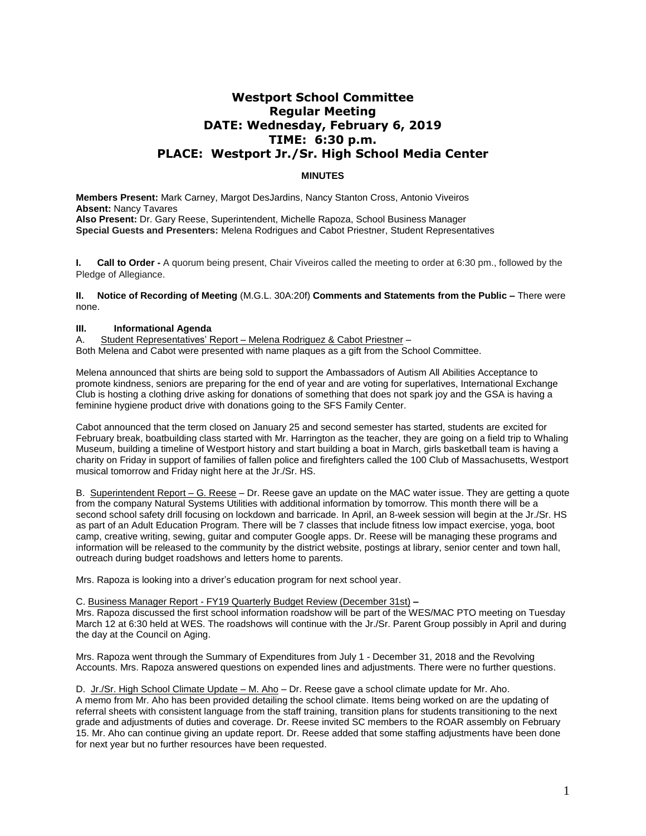# **Westport School Committee Regular Meeting DATE: Wednesday, February 6, 2019 TIME: 6:30 p.m. PLACE: Westport Jr./Sr. High School Media Center**

# **MINUTES**

**Members Present:** Mark Carney, Margot DesJardins, Nancy Stanton Cross, Antonio Viveiros **Absent:** Nancy Tavares **Also Present:** Dr. Gary Reese, Superintendent, Michelle Rapoza, School Business Manager **Special Guests and Presenters:** Melena Rodrigues and Cabot Priestner, Student Representatives

**I. Call to Order -** A quorum being present, Chair Viveiros called the meeting to order at 6:30 pm., followed by the Pledge of Allegiance.

**II. Notice of Recording of Meeting** (M.G.L. 30A:20f) **Comments and Statements from the Public –** There were none.

## **III. Informational Agenda**

A. Student Representatives' Report – Melena Rodriguez & Cabot Priestner – Both Melena and Cabot were presented with name plaques as a gift from the School Committee.

Melena announced that shirts are being sold to support the Ambassadors of Autism All Abilities Acceptance to promote kindness, seniors are preparing for the end of year and are voting for superlatives, International Exchange Club is hosting a clothing drive asking for donations of something that does not spark joy and the GSA is having a feminine hygiene product drive with donations going to the SFS Family Center.

Cabot announced that the term closed on January 25 and second semester has started, students are excited for February break, boatbuilding class started with Mr. Harrington as the teacher, they are going on a field trip to Whaling Museum, building a timeline of Westport history and start building a boat in March, girls basketball team is having a charity on Friday in support of families of fallen police and firefighters called the 100 Club of Massachusetts, Westport musical tomorrow and Friday night here at the Jr./Sr. HS.

B. Superintendent Report – G. Reese – Dr. Reese gave an update on the MAC water issue. They are getting a quote from the company Natural Systems Utilities with additional information by tomorrow. This month there will be a second school safety drill focusing on lockdown and barricade. In April, an 8-week session will begin at the Jr./Sr. HS as part of an Adult Education Program. There will be 7 classes that include fitness low impact exercise, yoga, boot camp, creative writing, sewing, guitar and computer Google apps. Dr. Reese will be managing these programs and information will be released to the community by the district website, postings at library, senior center and town hall, outreach during budget roadshows and letters home to parents.

Mrs. Rapoza is looking into a driver's education program for next school year.

#### C. Business Manager Report - FY19 Quarterly Budget Review (December 31st) **–**

Mrs. Rapoza discussed the first school information roadshow will be part of the WES/MAC PTO meeting on Tuesday March 12 at 6:30 held at WES. The roadshows will continue with the Jr./Sr. Parent Group possibly in April and during the day at the Council on Aging.

Mrs. Rapoza went through the Summary of Expenditures from July 1 - December 31, 2018 and the Revolving Accounts. Mrs. Rapoza answered questions on expended lines and adjustments. There were no further questions.

D. Jr./Sr. High School Climate Update – M. Aho – Dr. Reese gave a school climate update for Mr. Aho.

A memo from Mr. Aho has been provided detailing the school climate. Items being worked on are the updating of referral sheets with consistent language from the staff training, transition plans for students transitioning to the next grade and adjustments of duties and coverage. Dr. Reese invited SC members to the ROAR assembly on February 15. Mr. Aho can continue giving an update report. Dr. Reese added that some staffing adjustments have been done for next year but no further resources have been requested.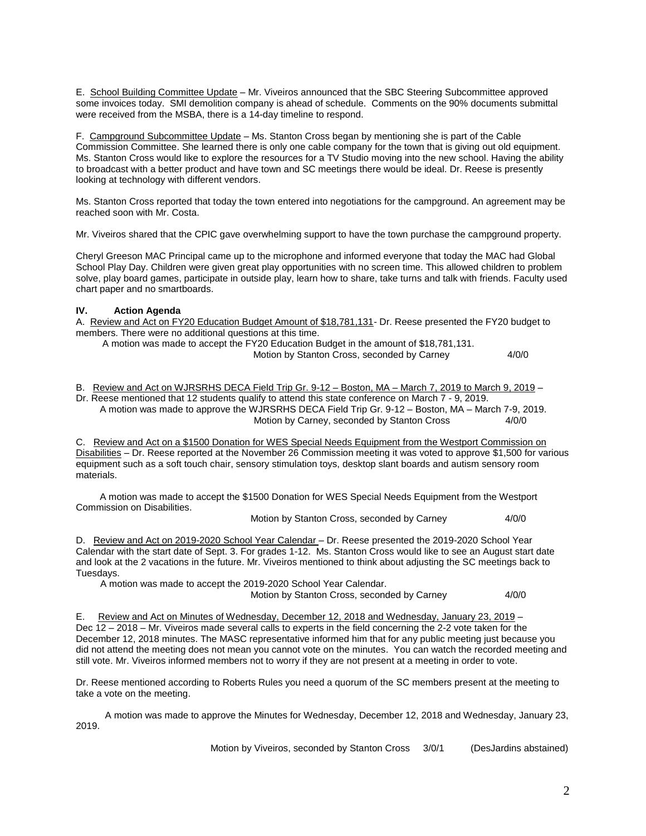E. School Building Committee Update – Mr. Viveiros announced that the SBC Steering Subcommittee approved some invoices today. SMI demolition company is ahead of schedule. Comments on the 90% documents submittal were received from the MSBA, there is a 14-day timeline to respond.

F. Campground Subcommittee Update – Ms. Stanton Cross began by mentioning she is part of the Cable Commission Committee. She learned there is only one cable company for the town that is giving out old equipment. Ms. Stanton Cross would like to explore the resources for a TV Studio moving into the new school. Having the ability to broadcast with a better product and have town and SC meetings there would be ideal. Dr. Reese is presently looking at technology with different vendors.

Ms. Stanton Cross reported that today the town entered into negotiations for the campground. An agreement may be reached soon with Mr. Costa.

Mr. Viveiros shared that the CPIC gave overwhelming support to have the town purchase the campground property.

Cheryl Greeson MAC Principal came up to the microphone and informed everyone that today the MAC had Global School Play Day. Children were given great play opportunities with no screen time. This allowed children to problem solve, play board games, participate in outside play, learn how to share, take turns and talk with friends. Faculty used chart paper and no smartboards.

## **IV. Action Agenda**

A. Review and Act on FY20 Education Budget Amount of \$18,781,131- Dr. Reese presented the FY20 budget to members. There were no additional questions at this time.

| A motion was made to accept the FY20 Education Budget in the amount of \$18,781,131. |       |
|--------------------------------------------------------------------------------------|-------|
| Motion by Stanton Cross, seconded by Carney                                          | 4/0/0 |

B. Review and Act on WJRSRHS DECA Field Trip Gr. 9-12 – Boston, MA – March 7, 2019 to March 9, 2019 – Dr. Reese mentioned that 12 students qualify to attend this state conference on March 7 - 9, 2019.

 A motion was made to approve the WJRSRHS DECA Field Trip Gr. 9-12 – Boston, MA – March 7-9, 2019. Motion by Carney, seconded by Stanton Cross 4/0/0

C. Review and Act on a \$1500 Donation for WES Special Needs Equipment from the Westport Commission on Disabilities – Dr. Reese reported at the November 26 Commission meeting it was voted to approve \$1,500 for various equipment such as a soft touch chair, sensory stimulation toys, desktop slant boards and autism sensory room materials.

 A motion was made to accept the \$1500 Donation for WES Special Needs Equipment from the Westport Commission on Disabilities.

Motion by Stanton Cross, seconded by Carney 4/0/0

D. Review and Act on 2019-2020 School Year Calendar – Dr. Reese presented the 2019-2020 School Year Calendar with the start date of Sept. 3. For grades 1-12. Ms. Stanton Cross would like to see an August start date and look at the 2 vacations in the future. Mr. Viveiros mentioned to think about adjusting the SC meetings back to Tuesdays.

A motion was made to accept the 2019-2020 School Year Calendar.

Motion by Stanton Cross, seconded by Carney 4/0/0

E. Review and Act on Minutes of Wednesday, December 12, 2018 and Wednesday, January 23, 2019 – Dec 12 – 2018 – Mr. Viveiros made several calls to experts in the field concerning the 2-2 vote taken for the December 12, 2018 minutes. The MASC representative informed him that for any public meeting just because you did not attend the meeting does not mean you cannot vote on the minutes. You can watch the recorded meeting and still vote. Mr. Viveiros informed members not to worry if they are not present at a meeting in order to vote.

Dr. Reese mentioned according to Roberts Rules you need a quorum of the SC members present at the meeting to take a vote on the meeting.

 A motion was made to approve the Minutes for Wednesday, December 12, 2018 and Wednesday, January 23, 2019.

Motion by Viveiros, seconded by Stanton Cross 3/0/1 (DesJardins abstained)